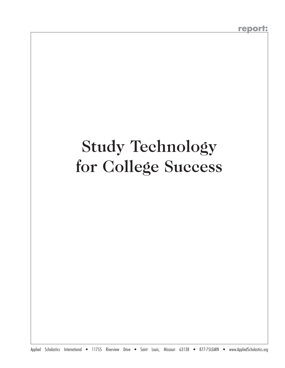# Study Technology for College Success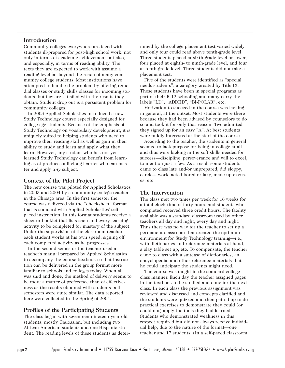# **Introduction**

Community colleges everywhere are faced with students ill-prepared for post-high school work, not only in terms of academic achievement but also, and especially, in terms of reading ability. The texts they are expected to work with assume a reading level far beyond the reach of many community college students. Most institutions have attempted to handle the problem by offering remedial classes or study skills classes for incoming students, but few are satisfied with the results they obtain. Student drop out is a persistent problem for community colleges.

In 2003 Applied Scholastics introduced a new Study Technology course especially designed for college age students. Because of the emphasis of Study Technology on vocabulary development, it is uniquely suited to helping students who need to improve their reading skill as well as gain in their ability to study and learn and apply what they learn. However, any student who has not yet learned Study Technology can benefit from learning as ot produces a lifelong learner who can master and apply *any* subject.

# **Context of the Pilot Project**

The new course was piloted for Applied Scholastics in 2003 and 2004 by a community college teacher in the Chicago area. In the first semester the course was delivered via the "checksheet" format that is standard with Applied Scholastics' selfpaced instruction. In this format students receive a sheet or booklet that lists each and every learning activity to be completed for mastery of the subject. Under the supervision of the classroom teacher, each student works at his own speed, signing off each completed activity as he progresses.

In the second semester the teacher used a teacher's manual prepared by Applied Scholastics to accompany the course textbook so that instruction can be delivered in the group format more familiar to schools and colleges today. When all was said and done, the method of delivery seems to be more a matter of preference than of effectiveness as the results obtained with students both semesters were quite similar. The data reported here were collected in the Spring of 2004.

# **Profiles of the Participating Students**

The class began with seventeen nineteen-year-old students, mostly Caucasian, but including two African-American students and one Hispanic student. The reading levels of these students as determined by the college placement test varied widely, and only four could read above tenth-grade level. Three students placed at sixth-grade level or lower, four placed at eighth- to ninth-grade level, and four at tenth-grade level. Three students did not take a placement test.

Five of the students were identified as "special needs students", a category created by Title IX. These students have been in special programs as part of their K-12 schooling and many carry the labels "LD", "ADDHD", "BI-POLAR", etc.

Motivation to succeed in the course was lacking, in general, at the outset. Most students were there because they had been advised by counselors to do so and took it for only that reason. Two admitted they signed up for an easy "A". At best students were mildly interested at the start of the course.

According to the teacher, the students in general seemed to lack purpose for being in college at all and thus were lacking in the soft skills needed for success—discipline, perseverance and will to excel, to mention just a few. As a result some students came to class late and/or unprepared, did sloppy, careless work, acted bored or lazy, made up excuses, etc.

#### **The Intervention**

The class met two times per week for 16 weeks for a total clock time of forty hours and students who completed received three credit hours. The facility available was a standard classroom used by other teachers all day and night, every day and night. Thus there was no way for the teacher to set up a permanent classroom that created the optimum environment for Study Technology training—i.e., with dictionaries and reference materials at hand, a clay table set up, etc. To compensate, the teacher came to class with a suitcase of dictionaries, an encyclopedia, and other reference materials that he could anticipate the students might need.

The course was taught in the standard college class manner. Each day the teacher assigned pages in the textbook to be studied and done for the next class. In each class the previous assignment was reviewed and discussed and concepts clarified and the students were quizzed and then paired up to do practical exercises to demonstrate they could (or could not) apply the tools they had learned. Students who demonstrated weakness in this respect required but did not always receive individual help, due to the nature of the format—one teacher and 17 students. (In a self-paced classroom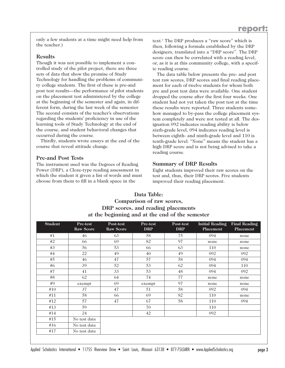only a few students at a time might need help from the teacher.)

#### **Results**

Though it was not possible to implement a controlled study of the pilot project, there are three sets of data that show the promise of Study Technology for handling the problems of community college students. The first of these is pre-and post test results—the performance of pilot students on the placement test administered by the college at the beginning of the semester and again, in different form, during the last week of the semester. The second consists of the teacher's observations regarding the students' proficiency in use of the learning tools of Study Technology at the end of the course, and student behavioral changes that occurred during the course.

Thirdly, students wrote essays at the end of the course that reveal attitude change.

# **Pre-and Post Tests**

The instrument used was the Degrees of Reading Power (DRP), a Cloze-type reading assessment in which the student it given a list of words and must choose from them to fill in a blank space in the

text.1 The DRP produces a "raw score" which is then, following a formula established by the DRP designers, translated into a "DRP score". The DRP score can then be correlated with a reading level, or, as it is at this community college, with a specific reading course.

The data table below presents the pre- and post test raw scores, DRP scores and final reading placement for each of twelve students for whom both pre and post test data were available. One student dropped the course after the first four weeks. One student had not yet taken the post test at the time these results were reported. Three students somehow managed to by-pass the college placement system completely and were not tested at all. The designation 092 indicates reading ability is below sixth-grade level, 094 indicates reading level is between eighth- and ninth-grade level and 110 is tenth-grade level. "None" means the student has a high DRP score and is not being advised to take a reading course.

# **Summary of DRP Results**

Eight students improved their raw scores on the test and, thus, their DRP scores. Five students improved their reading placement.

# **Data Table: Comparison of raw scores, DRP scores, and reading placements at the beginning and at the end of the semester**

| <b>Student</b> | Pre-test<br>Raw Score | Post-test<br><b>Raw Score</b> | Pre-test<br><b>DRP</b> | Post-test<br><b>DRP</b> | Initial Reading<br>Placement | <b>Final Reading</b><br>Placement |
|----------------|-----------------------|-------------------------------|------------------------|-------------------------|------------------------------|-----------------------------------|
| #1             | 46                    | 63                            | 58                     | 75                      | 094                          | none                              |
| #2             | 66                    | 69                            | 82                     | 97                      | none                         | none                              |
| #3             | 56                    | 53                            | 66                     | 63                      | 110                          | none                              |
| #4             | 22                    | 49                            | 40                     | 49                      | 092                          | 092                               |
| #5             | 46                    | 47                            | 57                     | 58                      | 094                          | 094                               |
| #6             | 39                    | 52                            | 53                     | 62                      | 094                          | 110                               |
| #7             | 41                    | 33                            | 53                     | 48                      | 094                          | 092                               |
| #8             | 62                    | 64                            | 74                     | 77                      | none                         | none                              |
| #9             | exempt                | 69                            | exempt                 | 97                      | none                         | none                              |
| #10            | 37                    | 47                            | 51                     | 58                      | 092                          | 094                               |
| #11            | 58                    | 66                            | 69                     | 82                      | 110                          | none                              |
| #12            | 57                    | 47                            | 67                     | 58                      | 110                          | 094                               |
| #13            | 59                    |                               | 70                     |                         | 110                          |                                   |
| #14            | 24                    |                               | 42                     |                         | 092                          |                                   |
| #15            | No test data          |                               |                        |                         |                              |                                   |
| #16            | No test data          |                               |                        |                         |                              |                                   |
| #17            | No test data          |                               |                        |                         |                              |                                   |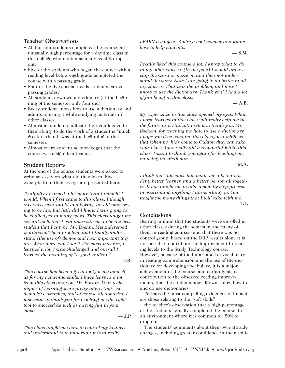# **Teacher Observations**

- All but four students completed the course, an unusually high percentage for a daytime class in this college where often as many as 50% drop out.
- Five of the students who began the course with a reading level below eigth grade completed the course with a passing grade.
- Four of the five special-needs students earned passing grades.<sup>2</sup>
- All students now own a dictionary (at the beginning of the semester only four did).
- Every student knows how to use a dictionary and admits to using it while studying materials in other classes.
- Almost all students indicate their confidence in their ability to do the work of a student is "much greater" than it was at the beginning of the semester.
- Almost every student acknowledges that the course was a significant value.

# **Student Reports**

At the end of the course students were asked to write an essay on what did they learn. Five excerpts from their essays are presented here.

*Truthfully I learned a lot more than I thought I would. When I first came to this class, I though this class was stupid and boring, an old man trying to be hip, but little did I know I was going to be challenged in many ways. This class taught me several tools that I can take with me to be the best student that I can be. Mr. Boehm, Misunderstood words won't be a problem, and I finally understand (the use of) demos and how important they are. What more can I say? The class was fun, I learned a lot, I was challenged and overall I learned the meaning of "a good student."*

**— J.B.**

*This course has been a great tool for me as well as for my academic skills. I have learned a lot from this class and you, Mr. Boehm. Your techniques of learning were pretty interesting, esp. demo kits, sketches, and of course dictionaries. I just want to thank you for teaching me the right tool to succeed as well as having fun in your class.* 

**— J.P.**

*This class taught me how to control my laziness and understand how important it is to really*

*LEARN a subject. You're a cool teacher and know how to help students.* 

**— S.M.**

*I really liked this course a lot. I know what to do in my other classes. (In the past) I would always skip the word or move on and then not understand the story. Now I am going to do better in all my classes. That was the problem, and now I know to use the dictionary. Thank you! I had a lot of fun being in this class.* 

**— A.B.**

*My experience in this class opened my eyes. What I have learned in this class will really help me in the future as a student. I what to thank you, Mr. Boehem, for teaching me how to use a dictionary. I hope you'll be teaching this class for a while so that when my kids come to Oakton thay can take your class. Your really did a wonderful job in this class. I want to thank you again for teaching me on using the dictionary.* 

**— M.A.**

*I think that this class has made me a better student, better learner, and a better person all together. It has taught me to take a step by step process in overcoming anything I am working on. You taught me many things that I will take with me.*  **— T.F.**

# **Conclusions**

Bearing in mind that the students were enrolled in other classes during the semester, and many of them in reading courses, and that there was no control group, based on the DRP results alone it is not possible to attribute the improvement in reading levels to the Study Technology course. However, because of the importance of vocabulary in reading comprehension and the use of the dictionary for developing vocabulary, it is a major achievement of the course, and certainly also a contribution to the observed reading improvements, that the students now all own, know how to and do use dictionaries.

Perhaps the most compelling evidences of impact are those relating to the "soft skills":

the teacher's observation that a high percentage of the students actually completed the course, in an environment where it is common for 50% to drop out.

The students' comments about their own attitude changes, including greater confidence in their abili